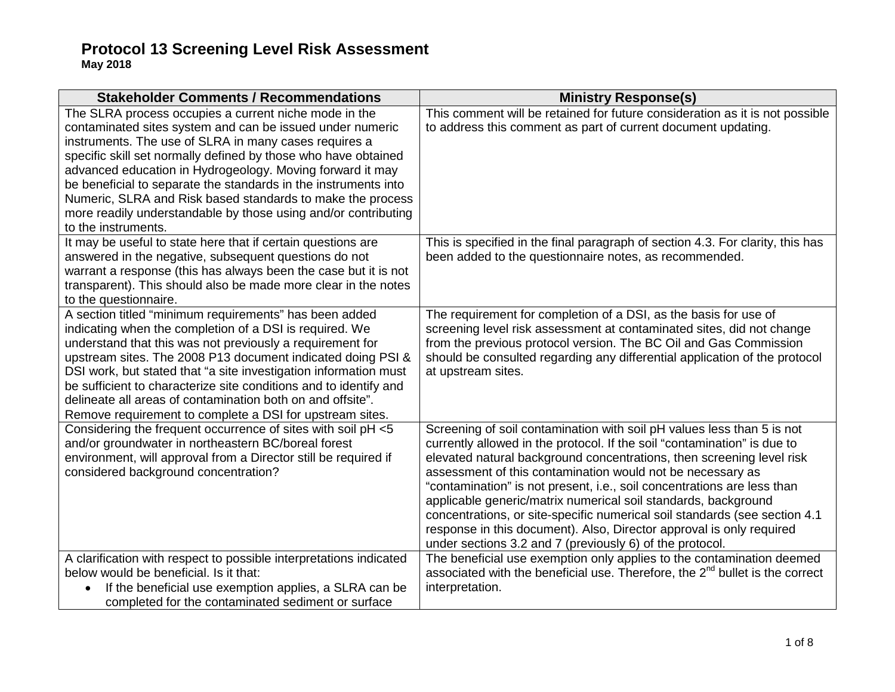| <b>Stakeholder Comments / Recommendations</b>                                                                                                                                                                                                                                                                                                                                                                                                                                                                                        | <b>Ministry Response(s)</b>                                                                                                                                                                                                                                                                                                                                                                                                                                                                                                                                                                                                                              |
|--------------------------------------------------------------------------------------------------------------------------------------------------------------------------------------------------------------------------------------------------------------------------------------------------------------------------------------------------------------------------------------------------------------------------------------------------------------------------------------------------------------------------------------|----------------------------------------------------------------------------------------------------------------------------------------------------------------------------------------------------------------------------------------------------------------------------------------------------------------------------------------------------------------------------------------------------------------------------------------------------------------------------------------------------------------------------------------------------------------------------------------------------------------------------------------------------------|
| The SLRA process occupies a current niche mode in the<br>contaminated sites system and can be issued under numeric<br>instruments. The use of SLRA in many cases requires a<br>specific skill set normally defined by those who have obtained<br>advanced education in Hydrogeology. Moving forward it may<br>be beneficial to separate the standards in the instruments into<br>Numeric, SLRA and Risk based standards to make the process<br>more readily understandable by those using and/or contributing<br>to the instruments. | This comment will be retained for future consideration as it is not possible<br>to address this comment as part of current document updating.                                                                                                                                                                                                                                                                                                                                                                                                                                                                                                            |
| It may be useful to state here that if certain questions are<br>answered in the negative, subsequent questions do not<br>warrant a response (this has always been the case but it is not<br>transparent). This should also be made more clear in the notes<br>to the questionnaire.                                                                                                                                                                                                                                                  | This is specified in the final paragraph of section 4.3. For clarity, this has<br>been added to the questionnaire notes, as recommended.                                                                                                                                                                                                                                                                                                                                                                                                                                                                                                                 |
| A section titled "minimum requirements" has been added<br>indicating when the completion of a DSI is required. We<br>understand that this was not previously a requirement for<br>upstream sites. The 2008 P13 document indicated doing PSI &<br>DSI work, but stated that "a site investigation information must<br>be sufficient to characterize site conditions and to identify and<br>delineate all areas of contamination both on and offsite".<br>Remove requirement to complete a DSI for upstream sites.                     | The requirement for completion of a DSI, as the basis for use of<br>screening level risk assessment at contaminated sites, did not change<br>from the previous protocol version. The BC Oil and Gas Commission<br>should be consulted regarding any differential application of the protocol<br>at upstream sites.                                                                                                                                                                                                                                                                                                                                       |
| Considering the frequent occurrence of sites with soil pH <5<br>and/or groundwater in northeastern BC/boreal forest<br>environment, will approval from a Director still be required if<br>considered background concentration?                                                                                                                                                                                                                                                                                                       | Screening of soil contamination with soil pH values less than 5 is not<br>currently allowed in the protocol. If the soil "contamination" is due to<br>elevated natural background concentrations, then screening level risk<br>assessment of this contamination would not be necessary as<br>"contamination" is not present, i.e., soil concentrations are less than<br>applicable generic/matrix numerical soil standards, background<br>concentrations, or site-specific numerical soil standards (see section 4.1<br>response in this document). Also, Director approval is only required<br>under sections 3.2 and 7 (previously 6) of the protocol. |
| A clarification with respect to possible interpretations indicated<br>below would be beneficial. Is it that:<br>If the beneficial use exemption applies, a SLRA can be<br>completed for the contaminated sediment or surface                                                                                                                                                                                                                                                                                                         | The beneficial use exemption only applies to the contamination deemed<br>associated with the beneficial use. Therefore, the $2nd$ bullet is the correct<br>interpretation.                                                                                                                                                                                                                                                                                                                                                                                                                                                                               |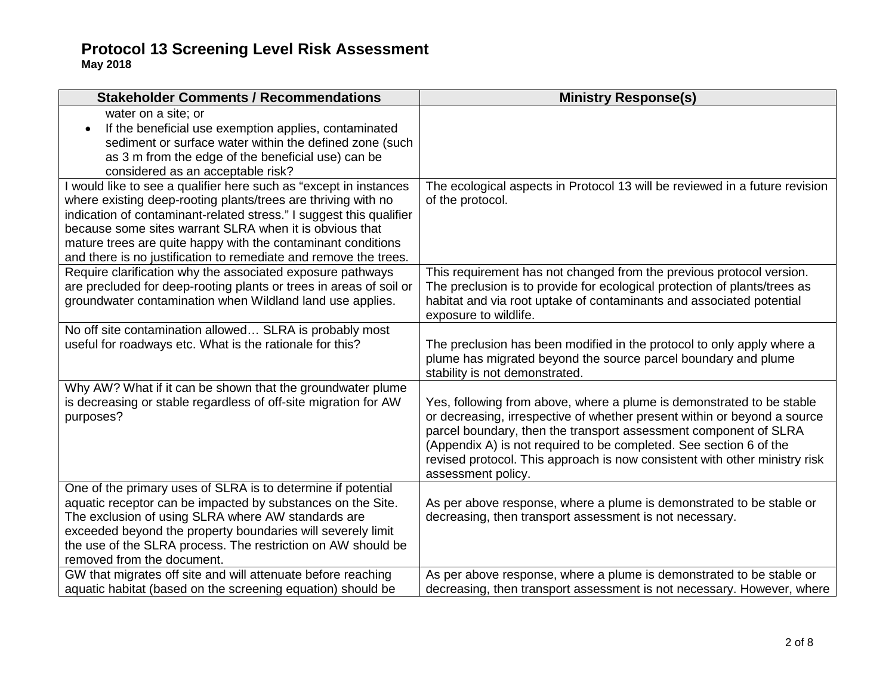| <b>Stakeholder Comments / Recommendations</b>                       | <b>Ministry Response(s)</b>                                                                      |
|---------------------------------------------------------------------|--------------------------------------------------------------------------------------------------|
| water on a site; or                                                 |                                                                                                  |
| If the beneficial use exemption applies, contaminated               |                                                                                                  |
| sediment or surface water within the defined zone (such             |                                                                                                  |
| as 3 m from the edge of the beneficial use) can be                  |                                                                                                  |
| considered as an acceptable risk?                                   |                                                                                                  |
| I would like to see a qualifier here such as "except in instances   | The ecological aspects in Protocol 13 will be reviewed in a future revision                      |
| where existing deep-rooting plants/trees are thriving with no       | of the protocol.                                                                                 |
| indication of contaminant-related stress." I suggest this qualifier |                                                                                                  |
| because some sites warrant SLRA when it is obvious that             |                                                                                                  |
| mature trees are quite happy with the contaminant conditions        |                                                                                                  |
| and there is no justification to remediate and remove the trees.    |                                                                                                  |
| Require clarification why the associated exposure pathways          | This requirement has not changed from the previous protocol version.                             |
| are precluded for deep-rooting plants or trees in areas of soil or  | The preclusion is to provide for ecological protection of plants/trees as                        |
| groundwater contamination when Wildland land use applies.           | habitat and via root uptake of contaminants and associated potential                             |
|                                                                     | exposure to wildlife.                                                                            |
| No off site contamination allowed SLRA is probably most             |                                                                                                  |
| useful for roadways etc. What is the rationale for this?            | The preclusion has been modified in the protocol to only apply where a                           |
|                                                                     | plume has migrated beyond the source parcel boundary and plume<br>stability is not demonstrated. |
| Why AW? What if it can be shown that the groundwater plume          |                                                                                                  |
| is decreasing or stable regardless of off-site migration for AW     | Yes, following from above, where a plume is demonstrated to be stable                            |
| purposes?                                                           | or decreasing, irrespective of whether present within or beyond a source                         |
|                                                                     | parcel boundary, then the transport assessment component of SLRA                                 |
|                                                                     | (Appendix A) is not required to be completed. See section 6 of the                               |
|                                                                     | revised protocol. This approach is now consistent with other ministry risk                       |
|                                                                     | assessment policy.                                                                               |
| One of the primary uses of SLRA is to determine if potential        |                                                                                                  |
| aquatic receptor can be impacted by substances on the Site.         | As per above response, where a plume is demonstrated to be stable or                             |
| The exclusion of using SLRA where AW standards are                  | decreasing, then transport assessment is not necessary.                                          |
| exceeded beyond the property boundaries will severely limit         |                                                                                                  |
| the use of the SLRA process. The restriction on AW should be        |                                                                                                  |
| removed from the document.                                          |                                                                                                  |
| GW that migrates off site and will attenuate before reaching        | As per above response, where a plume is demonstrated to be stable or                             |
| aquatic habitat (based on the screening equation) should be         | decreasing, then transport assessment is not necessary. However, where                           |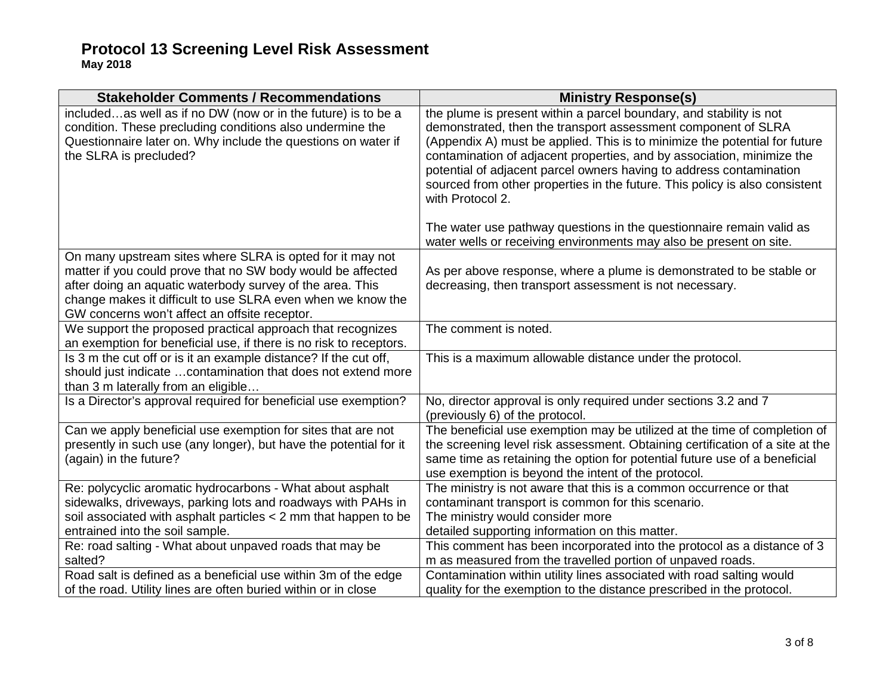| <b>Stakeholder Comments / Recommendations</b>                                                                                                                                                                                                                                                         | <b>Ministry Response(s)</b>                                                                                                                                                                                                                                                                                                                                                                                                                                                                                                                    |
|-------------------------------------------------------------------------------------------------------------------------------------------------------------------------------------------------------------------------------------------------------------------------------------------------------|------------------------------------------------------------------------------------------------------------------------------------------------------------------------------------------------------------------------------------------------------------------------------------------------------------------------------------------------------------------------------------------------------------------------------------------------------------------------------------------------------------------------------------------------|
| includedas well as if no DW (now or in the future) is to be a<br>condition. These precluding conditions also undermine the<br>Questionnaire later on. Why include the questions on water if<br>the SLRA is precluded?                                                                                 | the plume is present within a parcel boundary, and stability is not<br>demonstrated, then the transport assessment component of SLRA<br>(Appendix A) must be applied. This is to minimize the potential for future<br>contamination of adjacent properties, and by association, minimize the<br>potential of adjacent parcel owners having to address contamination<br>sourced from other properties in the future. This policy is also consistent<br>with Protocol 2.<br>The water use pathway questions in the questionnaire remain valid as |
|                                                                                                                                                                                                                                                                                                       | water wells or receiving environments may also be present on site.                                                                                                                                                                                                                                                                                                                                                                                                                                                                             |
| On many upstream sites where SLRA is opted for it may not<br>matter if you could prove that no SW body would be affected<br>after doing an aquatic waterbody survey of the area. This<br>change makes it difficult to use SLRA even when we know the<br>GW concerns won't affect an offsite receptor. | As per above response, where a plume is demonstrated to be stable or<br>decreasing, then transport assessment is not necessary.                                                                                                                                                                                                                                                                                                                                                                                                                |
| We support the proposed practical approach that recognizes<br>an exemption for beneficial use, if there is no risk to receptors.                                                                                                                                                                      | The comment is noted.                                                                                                                                                                                                                                                                                                                                                                                                                                                                                                                          |
| Is 3 m the cut off or is it an example distance? If the cut off,<br>should just indicate  contamination that does not extend more<br>than 3 m laterally from an eligible                                                                                                                              | This is a maximum allowable distance under the protocol.                                                                                                                                                                                                                                                                                                                                                                                                                                                                                       |
| Is a Director's approval required for beneficial use exemption?                                                                                                                                                                                                                                       | No, director approval is only required under sections 3.2 and 7<br>(previously 6) of the protocol.                                                                                                                                                                                                                                                                                                                                                                                                                                             |
| Can we apply beneficial use exemption for sites that are not<br>presently in such use (any longer), but have the potential for it<br>(again) in the future?                                                                                                                                           | The beneficial use exemption may be utilized at the time of completion of<br>the screening level risk assessment. Obtaining certification of a site at the<br>same time as retaining the option for potential future use of a beneficial<br>use exemption is beyond the intent of the protocol.                                                                                                                                                                                                                                                |
| Re: polycyclic aromatic hydrocarbons - What about asphalt                                                                                                                                                                                                                                             | The ministry is not aware that this is a common occurrence or that                                                                                                                                                                                                                                                                                                                                                                                                                                                                             |
| sidewalks, driveways, parking lots and roadways with PAHs in<br>soil associated with asphalt particles < 2 mm that happen to be                                                                                                                                                                       | contaminant transport is common for this scenario.<br>The ministry would consider more                                                                                                                                                                                                                                                                                                                                                                                                                                                         |
| entrained into the soil sample.                                                                                                                                                                                                                                                                       | detailed supporting information on this matter.                                                                                                                                                                                                                                                                                                                                                                                                                                                                                                |
| Re: road salting - What about unpaved roads that may be<br>salted?                                                                                                                                                                                                                                    | This comment has been incorporated into the protocol as a distance of 3<br>m as measured from the travelled portion of unpaved roads.                                                                                                                                                                                                                                                                                                                                                                                                          |
| Road salt is defined as a beneficial use within 3m of the edge                                                                                                                                                                                                                                        | Contamination within utility lines associated with road salting would                                                                                                                                                                                                                                                                                                                                                                                                                                                                          |
| of the road. Utility lines are often buried within or in close                                                                                                                                                                                                                                        | quality for the exemption to the distance prescribed in the protocol.                                                                                                                                                                                                                                                                                                                                                                                                                                                                          |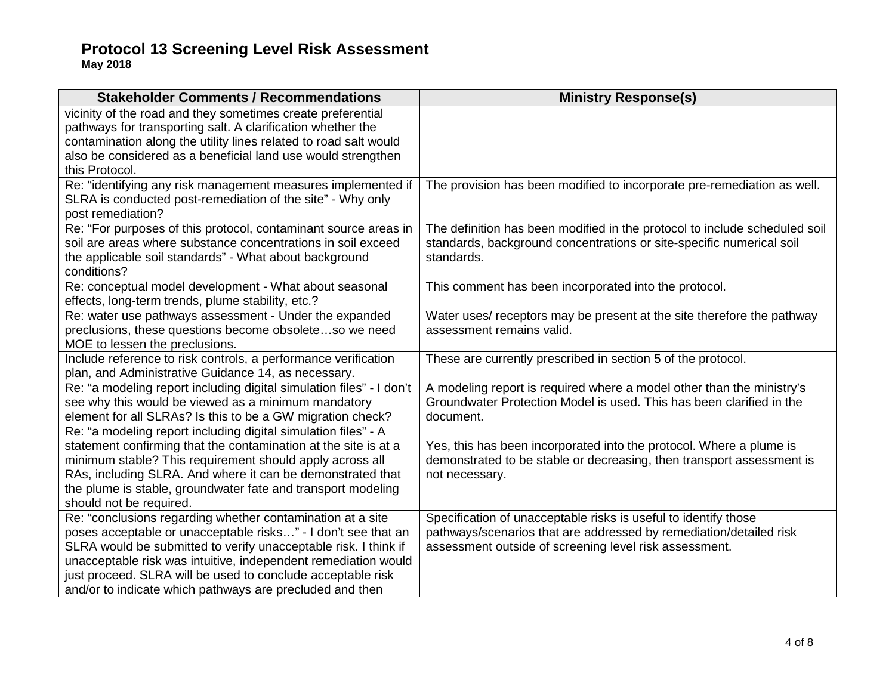| <b>Stakeholder Comments / Recommendations</b>                                                                                     | <b>Ministry Response(s)</b>                                                |
|-----------------------------------------------------------------------------------------------------------------------------------|----------------------------------------------------------------------------|
| vicinity of the road and they sometimes create preferential<br>pathways for transporting salt. A clarification whether the        |                                                                            |
| contamination along the utility lines related to road salt would                                                                  |                                                                            |
| also be considered as a beneficial land use would strengthen                                                                      |                                                                            |
| this Protocol.                                                                                                                    |                                                                            |
| Re: "identifying any risk management measures implemented if                                                                      | The provision has been modified to incorporate pre-remediation as well.    |
| SLRA is conducted post-remediation of the site" - Why only                                                                        |                                                                            |
| post remediation?                                                                                                                 |                                                                            |
| Re: "For purposes of this protocol, contaminant source areas in                                                                   | The definition has been modified in the protocol to include scheduled soil |
| soil are areas where substance concentrations in soil exceed                                                                      | standards, background concentrations or site-specific numerical soil       |
| the applicable soil standards" - What about background<br>conditions?                                                             | standards.                                                                 |
| Re: conceptual model development - What about seasonal                                                                            | This comment has been incorporated into the protocol.                      |
| effects, long-term trends, plume stability, etc.?                                                                                 |                                                                            |
| Re: water use pathways assessment - Under the expanded                                                                            | Water uses/ receptors may be present at the site therefore the pathway     |
| preclusions, these questions become obsoleteso we need                                                                            | assessment remains valid.                                                  |
| MOE to lessen the preclusions.                                                                                                    |                                                                            |
| Include reference to risk controls, a performance verification                                                                    | These are currently prescribed in section 5 of the protocol.               |
| plan, and Administrative Guidance 14, as necessary.                                                                               |                                                                            |
| Re: "a modeling report including digital simulation files" - I don't                                                              | A modeling report is required where a model other than the ministry's      |
| see why this would be viewed as a minimum mandatory                                                                               | Groundwater Protection Model is used. This has been clarified in the       |
| element for all SLRAs? Is this to be a GW migration check?                                                                        | document.                                                                  |
| Re: "a modeling report including digital simulation files" - A<br>statement confirming that the contamination at the site is at a | Yes, this has been incorporated into the protocol. Where a plume is        |
| minimum stable? This requirement should apply across all                                                                          | demonstrated to be stable or decreasing, then transport assessment is      |
| RAs, including SLRA. And where it can be demonstrated that                                                                        | not necessary.                                                             |
| the plume is stable, groundwater fate and transport modeling                                                                      |                                                                            |
| should not be required.                                                                                                           |                                                                            |
| Re: "conclusions regarding whether contamination at a site                                                                        | Specification of unacceptable risks is useful to identify those            |
| poses acceptable or unacceptable risks" - I don't see that an                                                                     | pathways/scenarios that are addressed by remediation/detailed risk         |
| SLRA would be submitted to verify unacceptable risk. I think if                                                                   | assessment outside of screening level risk assessment.                     |
| unacceptable risk was intuitive, independent remediation would                                                                    |                                                                            |
| just proceed. SLRA will be used to conclude acceptable risk                                                                       |                                                                            |
| and/or to indicate which pathways are precluded and then                                                                          |                                                                            |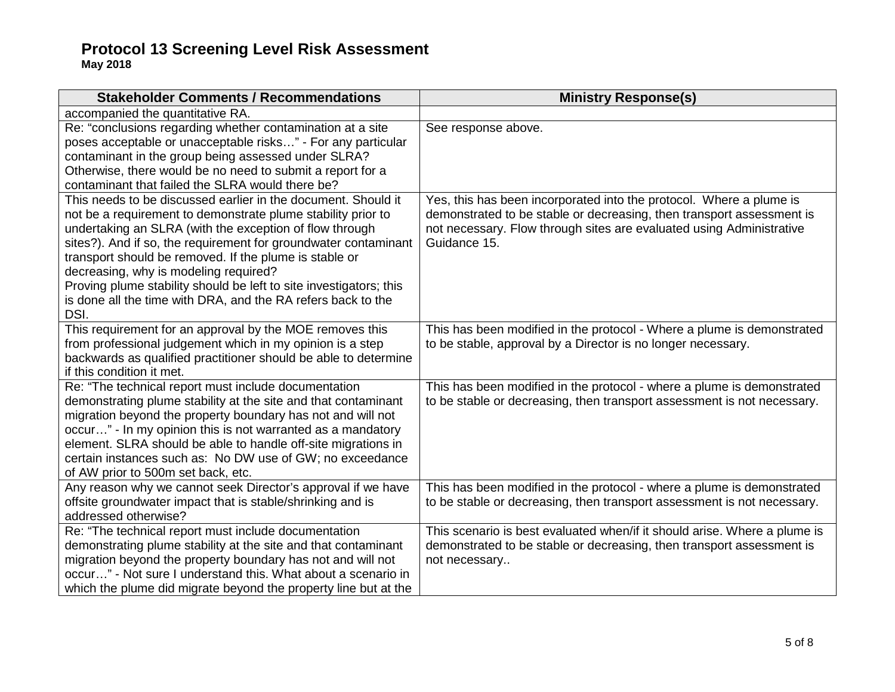| <b>Stakeholder Comments / Recommendations</b>                                                                                                                                                                                                                                                                                                                                                                                                                                                                | <b>Ministry Response(s)</b>                                                                                                                                                                                                          |
|--------------------------------------------------------------------------------------------------------------------------------------------------------------------------------------------------------------------------------------------------------------------------------------------------------------------------------------------------------------------------------------------------------------------------------------------------------------------------------------------------------------|--------------------------------------------------------------------------------------------------------------------------------------------------------------------------------------------------------------------------------------|
| accompanied the quantitative RA.                                                                                                                                                                                                                                                                                                                                                                                                                                                                             |                                                                                                                                                                                                                                      |
| Re: "conclusions regarding whether contamination at a site<br>poses acceptable or unacceptable risks" - For any particular<br>contaminant in the group being assessed under SLRA?<br>Otherwise, there would be no need to submit a report for a<br>contaminant that failed the SLRA would there be?                                                                                                                                                                                                          | See response above.                                                                                                                                                                                                                  |
| This needs to be discussed earlier in the document. Should it<br>not be a requirement to demonstrate plume stability prior to<br>undertaking an SLRA (with the exception of flow through<br>sites?). And if so, the requirement for groundwater contaminant<br>transport should be removed. If the plume is stable or<br>decreasing, why is modeling required?<br>Proving plume stability should be left to site investigators; this<br>is done all the time with DRA, and the RA refers back to the<br>DSI. | Yes, this has been incorporated into the protocol. Where a plume is<br>demonstrated to be stable or decreasing, then transport assessment is<br>not necessary. Flow through sites are evaluated using Administrative<br>Guidance 15. |
| This requirement for an approval by the MOE removes this<br>from professional judgement which in my opinion is a step<br>backwards as qualified practitioner should be able to determine<br>if this condition it met.                                                                                                                                                                                                                                                                                        | This has been modified in the protocol - Where a plume is demonstrated<br>to be stable, approval by a Director is no longer necessary.                                                                                               |
| Re: "The technical report must include documentation<br>demonstrating plume stability at the site and that contaminant<br>migration beyond the property boundary has not and will not<br>occur" - In my opinion this is not warranted as a mandatory<br>element. SLRA should be able to handle off-site migrations in<br>certain instances such as: No DW use of GW; no exceedance<br>of AW prior to 500m set back, etc.                                                                                     | This has been modified in the protocol - where a plume is demonstrated<br>to be stable or decreasing, then transport assessment is not necessary.                                                                                    |
| Any reason why we cannot seek Director's approval if we have<br>offsite groundwater impact that is stable/shrinking and is<br>addressed otherwise?                                                                                                                                                                                                                                                                                                                                                           | This has been modified in the protocol - where a plume is demonstrated<br>to be stable or decreasing, then transport assessment is not necessary.                                                                                    |
| Re: "The technical report must include documentation<br>demonstrating plume stability at the site and that contaminant<br>migration beyond the property boundary has not and will not<br>occur" - Not sure I understand this. What about a scenario in<br>which the plume did migrate beyond the property line but at the                                                                                                                                                                                    | This scenario is best evaluated when/if it should arise. Where a plume is<br>demonstrated to be stable or decreasing, then transport assessment is<br>not necessary                                                                  |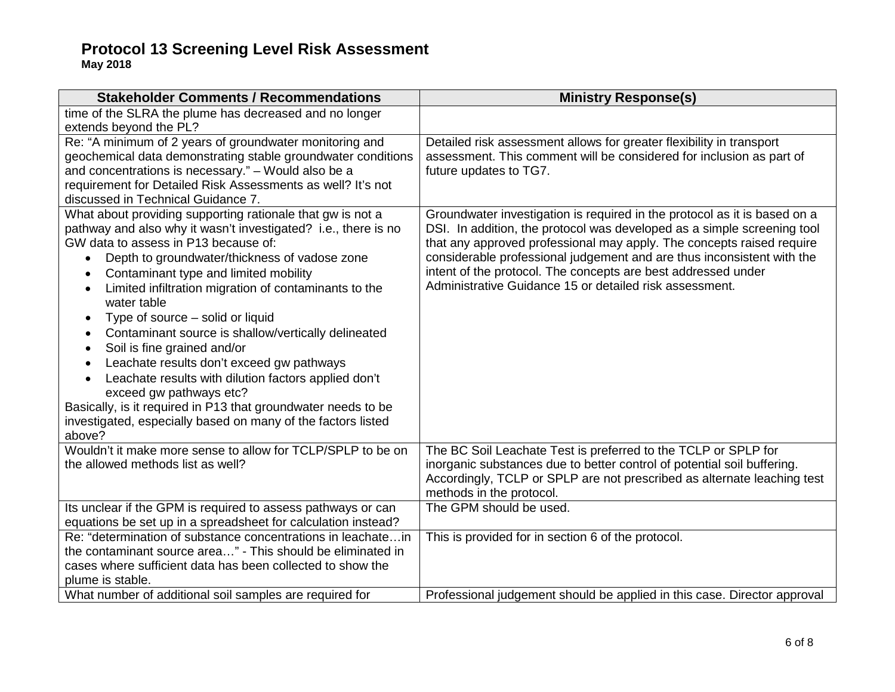| <b>Stakeholder Comments / Recommendations</b>                                                                                                                                                                                                                                                                                                                                                                                                                                                                                                                                                                                                                                                                                                                                                                                          | <b>Ministry Response(s)</b>                                                                                                                                                                                                                                                                                                                                                                                                         |
|----------------------------------------------------------------------------------------------------------------------------------------------------------------------------------------------------------------------------------------------------------------------------------------------------------------------------------------------------------------------------------------------------------------------------------------------------------------------------------------------------------------------------------------------------------------------------------------------------------------------------------------------------------------------------------------------------------------------------------------------------------------------------------------------------------------------------------------|-------------------------------------------------------------------------------------------------------------------------------------------------------------------------------------------------------------------------------------------------------------------------------------------------------------------------------------------------------------------------------------------------------------------------------------|
| time of the SLRA the plume has decreased and no longer<br>extends beyond the PL?                                                                                                                                                                                                                                                                                                                                                                                                                                                                                                                                                                                                                                                                                                                                                       |                                                                                                                                                                                                                                                                                                                                                                                                                                     |
| Re: "A minimum of 2 years of groundwater monitoring and<br>geochemical data demonstrating stable groundwater conditions<br>and concentrations is necessary." - Would also be a<br>requirement for Detailed Risk Assessments as well? It's not<br>discussed in Technical Guidance 7.                                                                                                                                                                                                                                                                                                                                                                                                                                                                                                                                                    | Detailed risk assessment allows for greater flexibility in transport<br>assessment. This comment will be considered for inclusion as part of<br>future updates to TG7.                                                                                                                                                                                                                                                              |
| What about providing supporting rationale that gw is not a<br>pathway and also why it wasn't investigated? i.e., there is no<br>GW data to assess in P13 because of:<br>Depth to groundwater/thickness of vadose zone<br>Contaminant type and limited mobility<br>$\bullet$<br>Limited infiltration migration of contaminants to the<br>$\bullet$<br>water table<br>Type of source – solid or liquid<br>$\bullet$<br>Contaminant source is shallow/vertically delineated<br>$\bullet$<br>Soil is fine grained and/or<br>$\bullet$<br>Leachate results don't exceed gw pathways<br>$\bullet$<br>Leachate results with dilution factors applied don't<br>$\bullet$<br>exceed gw pathways etc?<br>Basically, is it required in P13 that groundwater needs to be<br>investigated, especially based on many of the factors listed<br>above? | Groundwater investigation is required in the protocol as it is based on a<br>DSI. In addition, the protocol was developed as a simple screening tool<br>that any approved professional may apply. The concepts raised require<br>considerable professional judgement and are thus inconsistent with the<br>intent of the protocol. The concepts are best addressed under<br>Administrative Guidance 15 or detailed risk assessment. |
| Wouldn't it make more sense to allow for TCLP/SPLP to be on<br>the allowed methods list as well?                                                                                                                                                                                                                                                                                                                                                                                                                                                                                                                                                                                                                                                                                                                                       | The BC Soil Leachate Test is preferred to the TCLP or SPLP for<br>inorganic substances due to better control of potential soil buffering.<br>Accordingly, TCLP or SPLP are not prescribed as alternate leaching test<br>methods in the protocol.                                                                                                                                                                                    |
| Its unclear if the GPM is required to assess pathways or can<br>equations be set up in a spreadsheet for calculation instead?                                                                                                                                                                                                                                                                                                                                                                                                                                                                                                                                                                                                                                                                                                          | The GPM should be used.                                                                                                                                                                                                                                                                                                                                                                                                             |
| Re: "determination of substance concentrations in leachatein<br>the contaminant source area" - This should be eliminated in<br>cases where sufficient data has been collected to show the<br>plume is stable.                                                                                                                                                                                                                                                                                                                                                                                                                                                                                                                                                                                                                          | This is provided for in section 6 of the protocol.                                                                                                                                                                                                                                                                                                                                                                                  |
| What number of additional soil samples are required for                                                                                                                                                                                                                                                                                                                                                                                                                                                                                                                                                                                                                                                                                                                                                                                | Professional judgement should be applied in this case. Director approval                                                                                                                                                                                                                                                                                                                                                            |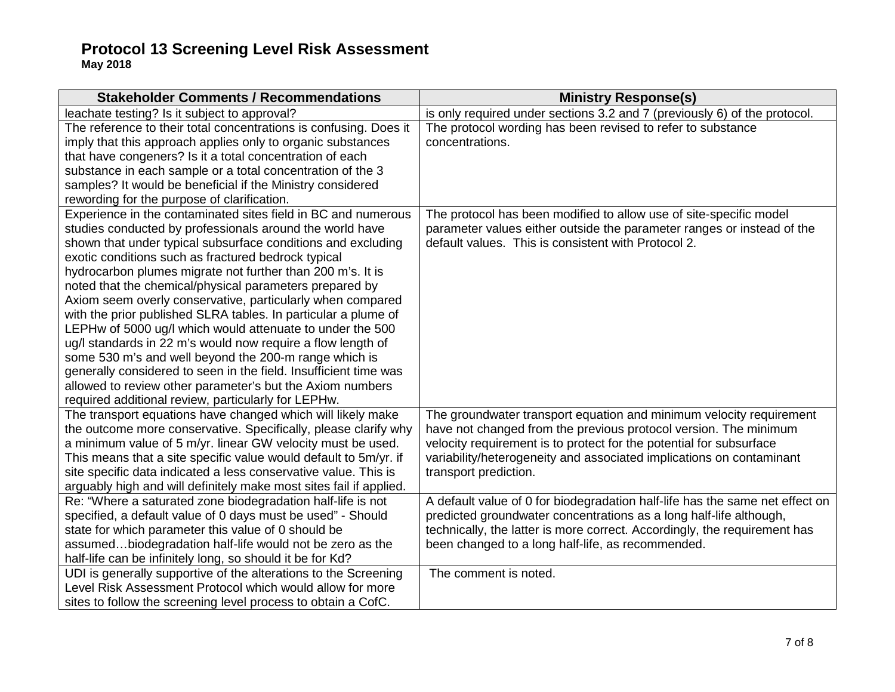| leachate testing? Is it subject to approval?<br>is only required under sections 3.2 and 7 (previously 6) of the protocol.<br>The protocol wording has been revised to refer to substance<br>The reference to their total concentrations is confusing. Does it<br>imply that this approach applies only to organic substances<br>concentrations.<br>that have congeners? Is it a total concentration of each<br>substance in each sample or a total concentration of the 3<br>samples? It would be beneficial if the Ministry considered<br>rewording for the purpose of clarification.<br>Experience in the contaminated sites field in BC and numerous<br>The protocol has been modified to allow use of site-specific model<br>studies conducted by professionals around the world have<br>parameter values either outside the parameter ranges or instead of the<br>default values. This is consistent with Protocol 2.<br>shown that under typical subsurface conditions and excluding |
|--------------------------------------------------------------------------------------------------------------------------------------------------------------------------------------------------------------------------------------------------------------------------------------------------------------------------------------------------------------------------------------------------------------------------------------------------------------------------------------------------------------------------------------------------------------------------------------------------------------------------------------------------------------------------------------------------------------------------------------------------------------------------------------------------------------------------------------------------------------------------------------------------------------------------------------------------------------------------------------------|
|                                                                                                                                                                                                                                                                                                                                                                                                                                                                                                                                                                                                                                                                                                                                                                                                                                                                                                                                                                                            |
|                                                                                                                                                                                                                                                                                                                                                                                                                                                                                                                                                                                                                                                                                                                                                                                                                                                                                                                                                                                            |
|                                                                                                                                                                                                                                                                                                                                                                                                                                                                                                                                                                                                                                                                                                                                                                                                                                                                                                                                                                                            |
|                                                                                                                                                                                                                                                                                                                                                                                                                                                                                                                                                                                                                                                                                                                                                                                                                                                                                                                                                                                            |
|                                                                                                                                                                                                                                                                                                                                                                                                                                                                                                                                                                                                                                                                                                                                                                                                                                                                                                                                                                                            |
|                                                                                                                                                                                                                                                                                                                                                                                                                                                                                                                                                                                                                                                                                                                                                                                                                                                                                                                                                                                            |
|                                                                                                                                                                                                                                                                                                                                                                                                                                                                                                                                                                                                                                                                                                                                                                                                                                                                                                                                                                                            |
|                                                                                                                                                                                                                                                                                                                                                                                                                                                                                                                                                                                                                                                                                                                                                                                                                                                                                                                                                                                            |
|                                                                                                                                                                                                                                                                                                                                                                                                                                                                                                                                                                                                                                                                                                                                                                                                                                                                                                                                                                                            |
|                                                                                                                                                                                                                                                                                                                                                                                                                                                                                                                                                                                                                                                                                                                                                                                                                                                                                                                                                                                            |
| exotic conditions such as fractured bedrock typical                                                                                                                                                                                                                                                                                                                                                                                                                                                                                                                                                                                                                                                                                                                                                                                                                                                                                                                                        |
| hydrocarbon plumes migrate not further than 200 m's. It is                                                                                                                                                                                                                                                                                                                                                                                                                                                                                                                                                                                                                                                                                                                                                                                                                                                                                                                                 |
| noted that the chemical/physical parameters prepared by                                                                                                                                                                                                                                                                                                                                                                                                                                                                                                                                                                                                                                                                                                                                                                                                                                                                                                                                    |
| Axiom seem overly conservative, particularly when compared                                                                                                                                                                                                                                                                                                                                                                                                                                                                                                                                                                                                                                                                                                                                                                                                                                                                                                                                 |
| with the prior published SLRA tables. In particular a plume of                                                                                                                                                                                                                                                                                                                                                                                                                                                                                                                                                                                                                                                                                                                                                                                                                                                                                                                             |
| LEPHw of 5000 ug/l which would attenuate to under the 500                                                                                                                                                                                                                                                                                                                                                                                                                                                                                                                                                                                                                                                                                                                                                                                                                                                                                                                                  |
| ug/I standards in 22 m's would now require a flow length of                                                                                                                                                                                                                                                                                                                                                                                                                                                                                                                                                                                                                                                                                                                                                                                                                                                                                                                                |
| some 530 m's and well beyond the 200-m range which is                                                                                                                                                                                                                                                                                                                                                                                                                                                                                                                                                                                                                                                                                                                                                                                                                                                                                                                                      |
| generally considered to seen in the field. Insufficient time was                                                                                                                                                                                                                                                                                                                                                                                                                                                                                                                                                                                                                                                                                                                                                                                                                                                                                                                           |
| allowed to review other parameter's but the Axiom numbers                                                                                                                                                                                                                                                                                                                                                                                                                                                                                                                                                                                                                                                                                                                                                                                                                                                                                                                                  |
| required additional review, particularly for LEPHw.                                                                                                                                                                                                                                                                                                                                                                                                                                                                                                                                                                                                                                                                                                                                                                                                                                                                                                                                        |
| The transport equations have changed which will likely make<br>The groundwater transport equation and minimum velocity requirement                                                                                                                                                                                                                                                                                                                                                                                                                                                                                                                                                                                                                                                                                                                                                                                                                                                         |
| the outcome more conservative. Specifically, please clarify why<br>have not changed from the previous protocol version. The minimum                                                                                                                                                                                                                                                                                                                                                                                                                                                                                                                                                                                                                                                                                                                                                                                                                                                        |
| a minimum value of 5 m/yr. linear GW velocity must be used.<br>velocity requirement is to protect for the potential for subsurface                                                                                                                                                                                                                                                                                                                                                                                                                                                                                                                                                                                                                                                                                                                                                                                                                                                         |
| This means that a site specific value would default to 5m/yr. if<br>variability/heterogeneity and associated implications on contaminant                                                                                                                                                                                                                                                                                                                                                                                                                                                                                                                                                                                                                                                                                                                                                                                                                                                   |
| site specific data indicated a less conservative value. This is<br>transport prediction.<br>arguably high and will definitely make most sites fail if applied.                                                                                                                                                                                                                                                                                                                                                                                                                                                                                                                                                                                                                                                                                                                                                                                                                             |
| A default value of 0 for biodegradation half-life has the same net effect on<br>Re: "Where a saturated zone biodegradation half-life is not                                                                                                                                                                                                                                                                                                                                                                                                                                                                                                                                                                                                                                                                                                                                                                                                                                                |
| specified, a default value of 0 days must be used" - Should<br>predicted groundwater concentrations as a long half-life although,                                                                                                                                                                                                                                                                                                                                                                                                                                                                                                                                                                                                                                                                                                                                                                                                                                                          |
| technically, the latter is more correct. Accordingly, the requirement has<br>state for which parameter this value of 0 should be                                                                                                                                                                                                                                                                                                                                                                                                                                                                                                                                                                                                                                                                                                                                                                                                                                                           |
| assumedbiodegradation half-life would not be zero as the<br>been changed to a long half-life, as recommended.                                                                                                                                                                                                                                                                                                                                                                                                                                                                                                                                                                                                                                                                                                                                                                                                                                                                              |
| half-life can be infinitely long, so should it be for Kd?                                                                                                                                                                                                                                                                                                                                                                                                                                                                                                                                                                                                                                                                                                                                                                                                                                                                                                                                  |
| UDI is generally supportive of the alterations to the Screening<br>The comment is noted.                                                                                                                                                                                                                                                                                                                                                                                                                                                                                                                                                                                                                                                                                                                                                                                                                                                                                                   |
| Level Risk Assessment Protocol which would allow for more                                                                                                                                                                                                                                                                                                                                                                                                                                                                                                                                                                                                                                                                                                                                                                                                                                                                                                                                  |
| sites to follow the screening level process to obtain a CofC.                                                                                                                                                                                                                                                                                                                                                                                                                                                                                                                                                                                                                                                                                                                                                                                                                                                                                                                              |